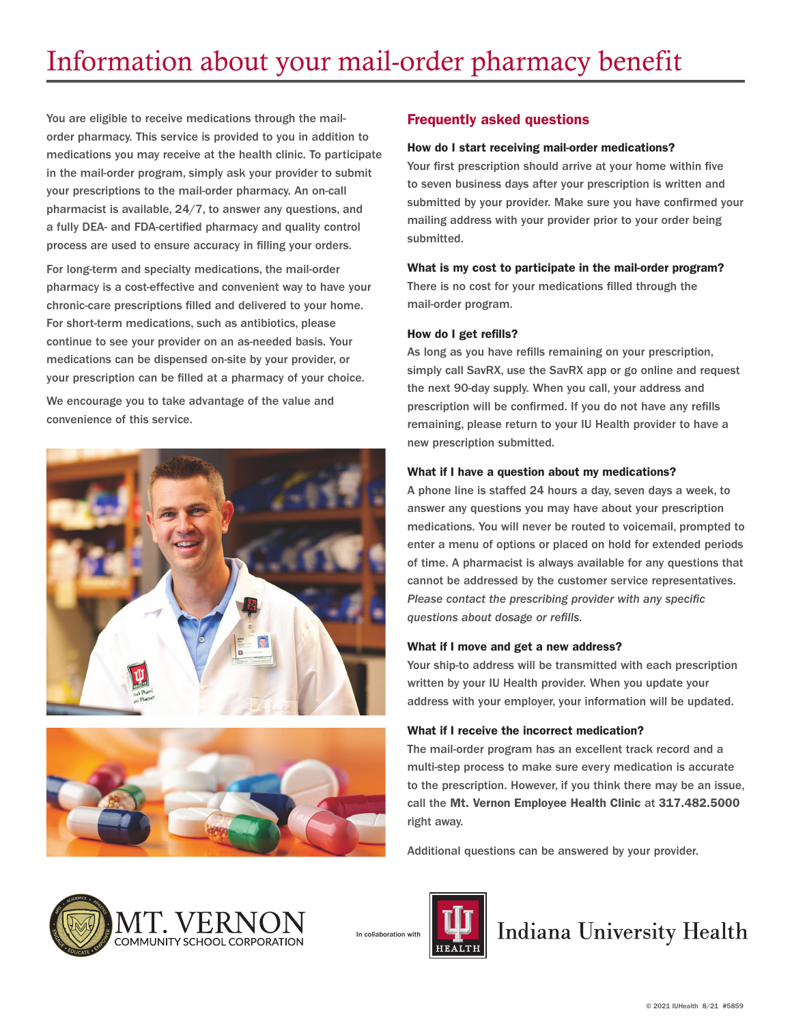You are eligible to receive medications through the mailorder pharmacy. This service is provided to you in addition to medications you may receive at the health clinic. To participate in the mail-order program, simply ask your provider to submit your prescriptions to the mail-order pharmacy. An on-call pharmacist is available, 24/7, to answer any questions, and a fully DEA- and FDA-certified pharmacy and quality control process are used to ensure accuracy in filling your orders.

For long-term and specialty medications, the mail-order pharmacy is a cost-effective and convenient way to have your chronic-care prescriptions filled and delivered to your home. For short-term medications, such as antibiotics, please continue to see your provider on an as-needed basis. Your medications can be dispensed on-site by your provider, or your prescription can be filled at a pharmacy of your choice.

We encourage you to take advantage of the value and convenience of this service.





## Frequently asked questions

#### How do I start receiving mail-order medications?

Your first prescription should arrive at your home within five to seven business days after your prescription is written and submitted by your provider. Make sure you have confirmed your mailing address with your provider prior to your order being submitted.

#### What is my cost to participate in the mail-order program?

There is no cost for your medications filled through the mail-order program.

#### How do I get refills?

As long as you have refills remaining on your prescription, simply call SavRX, use the SavRX app or go online and request the next 90-day supply. When you call, your address and prescription will be confirmed. If you do not have any refills remaining, please return to your IU Health provider to have a new prescription submitted.

#### What if I have a question about my medications?

A phone line is staffed 24 hours a day, seven days a week, to answer any questions you may have about your prescription medications. You will never be routed to voicemail, prompted to enter a menu of options or placed on hold for extended periods of time. A pharmacist is always available for any questions that cannot be addressed by the customer service representatives. *Please contact the prescribing provider with any specific questions about dosage or refills.*

#### What if I move and get a new address?

Your ship-to address will be transmitted with each prescription written by your IU Health provider. When you update your address with your employer, your information will be updated.

#### What if I receive the incorrect medication?

The mail-order program has an excellent track record and a multi-step process to make sure every medication is accurate to the prescription. However, if you think there may be an issue, call the Mt. Vernon Employee Health Clinic at 317.482.5000 right away.

Additional questions can be answered by your provider.



In collaboration with



**Indiana University Health**